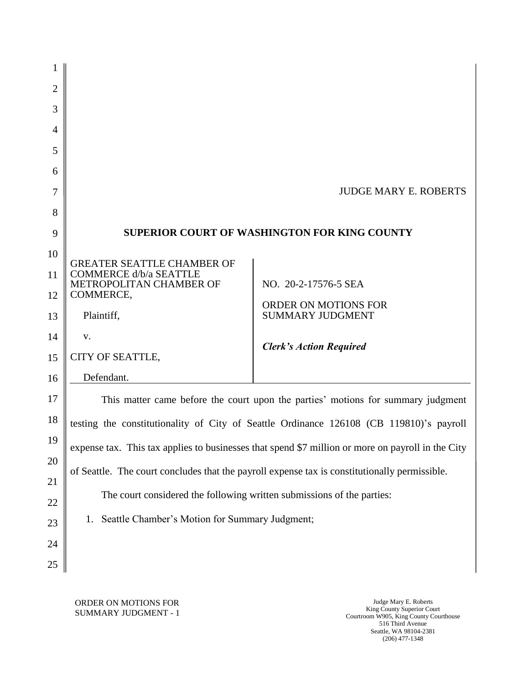| 1              |                                                                                                   |                                                 |  |
|----------------|---------------------------------------------------------------------------------------------------|-------------------------------------------------|--|
| $\overline{2}$ |                                                                                                   |                                                 |  |
| 3              |                                                                                                   |                                                 |  |
| 4              |                                                                                                   |                                                 |  |
| 5              |                                                                                                   |                                                 |  |
| 6              |                                                                                                   |                                                 |  |
| 7              |                                                                                                   | <b>JUDGE MARY E. ROBERTS</b>                    |  |
| 8              |                                                                                                   |                                                 |  |
| 9              | <b>SUPERIOR COURT OF WASHINGTON FOR KING COUNTY</b>                                               |                                                 |  |
| 10             | <b>GREATER SEATTLE CHAMBER OF</b>                                                                 |                                                 |  |
| 11             | COMMERCE d/b/a SEATTLE                                                                            | NO. 20-2-17576-5 SEA                            |  |
| 12             | METROPOLITAN CHAMBER OF<br>COMMERCE,<br>Plaintiff,                                                |                                                 |  |
| 13             |                                                                                                   | ORDER ON MOTIONS FOR<br><b>SUMMARY JUDGMENT</b> |  |
| 14             | V.                                                                                                | <b>Clerk's Action Required</b>                  |  |
| 15             | CITY OF SEATTLE,                                                                                  |                                                 |  |
| 16             | Defendant.                                                                                        |                                                 |  |
| 17             | This matter came before the court upon the parties' motions for summary judgment                  |                                                 |  |
| 18             | testing the constitutionality of City of Seattle Ordinance 126108 (CB 119810)'s payroll           |                                                 |  |
| 19             | expense tax. This tax applies to businesses that spend \$7 million or more on payroll in the City |                                                 |  |
| 20             | of Seattle. The court concludes that the payroll expense tax is constitutionally permissible.     |                                                 |  |
| 21             |                                                                                                   |                                                 |  |
| 22             | The court considered the following written submissions of the parties:                            |                                                 |  |
| 23             | Seattle Chamber's Motion for Summary Judgment;<br>1.                                              |                                                 |  |
| 24             |                                                                                                   |                                                 |  |
| 25             |                                                                                                   |                                                 |  |

ORDER ON MOTIONS FOR SUMMARY JUDGMENT - 1

Judge Mary E. Roberts King County Superior Court Courtroom W905, King County Courthouse 516 Third Avenue Seattle, WA 98104-2381 (206) 477-1348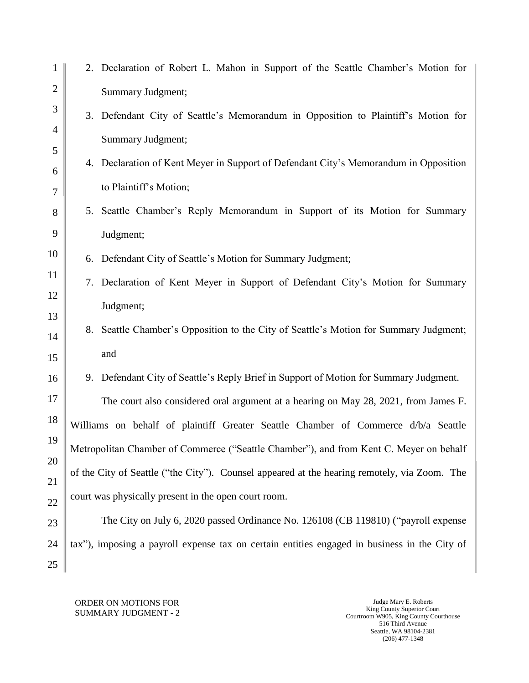| 1              |                                                                                              | 2. Declaration of Robert L. Mahon in Support of the Seattle Chamber's Motion for      |
|----------------|----------------------------------------------------------------------------------------------|---------------------------------------------------------------------------------------|
| $\overline{2}$ |                                                                                              | <b>Summary Judgment;</b>                                                              |
| $\mathfrak{Z}$ |                                                                                              | 3. Defendant City of Seattle's Memorandum in Opposition to Plaintiff's Motion for     |
| $\overline{4}$ |                                                                                              | Summary Judgment;                                                                     |
| 5              |                                                                                              | 4. Declaration of Kent Meyer in Support of Defendant City's Memorandum in Opposition  |
| 6<br>$\tau$    |                                                                                              | to Plaintiff's Motion;                                                                |
| 8              |                                                                                              | 5. Seattle Chamber's Reply Memorandum in Support of its Motion for Summary            |
| 9              |                                                                                              | Judgment;                                                                             |
| 10             |                                                                                              | 6. Defendant City of Seattle's Motion for Summary Judgment;                           |
| 11             |                                                                                              | 7. Declaration of Kent Meyer in Support of Defendant City's Motion for Summary        |
| 12             |                                                                                              | Judgment;                                                                             |
| 13             |                                                                                              | 8. Seattle Chamber's Opposition to the City of Seattle's Motion for Summary Judgment; |
| 14             |                                                                                              | and                                                                                   |
| 15             |                                                                                              |                                                                                       |
| 16             |                                                                                              | 9. Defendant City of Seattle's Reply Brief in Support of Motion for Summary Judgment. |
| 17             |                                                                                              | The court also considered oral argument at a hearing on May 28, 2021, from James F.   |
| 18             |                                                                                              | Williams on behalf of plaintiff Greater Seattle Chamber of Commerce d/b/a Seattle     |
| 19             | Metropolitan Chamber of Commerce ("Seattle Chamber"), and from Kent C. Meyer on behalf       |                                                                                       |
| 20             | of the City of Seattle ("the City"). Counsel appeared at the hearing remotely, via Zoom. The |                                                                                       |
| 21<br>22       | court was physically present in the open court room.                                         |                                                                                       |
| 23             | The City on July 6, 2020 passed Ordinance No. 126108 (CB 119810) ("payroll expense           |                                                                                       |
| 24             | tax"), imposing a payroll expense tax on certain entities engaged in business in the City of |                                                                                       |
| 25             |                                                                                              |                                                                                       |

## ORDER ON MOTIONS FOR SUMMARY JUDGMENT - 2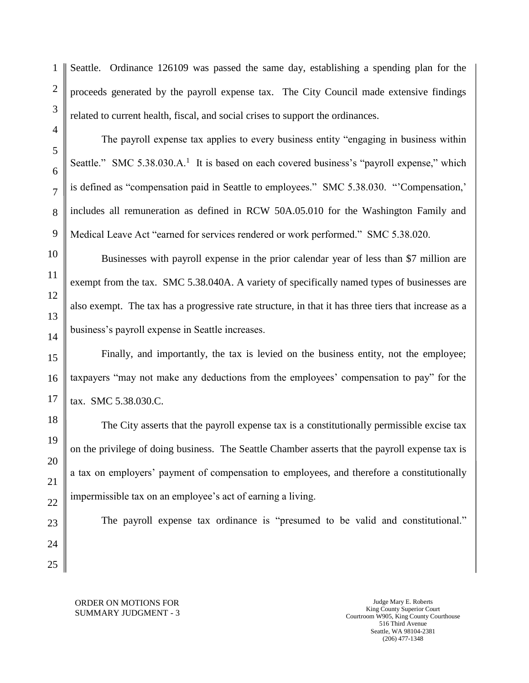1

Seattle. Ordinance 126109 was passed the same day, establishing a spending plan for the proceeds generated by the payroll expense tax. The City Council made extensive findings related to current health, fiscal, and social crises to support the ordinances.

The payroll expense tax applies to every business entity "engaging in business within Seattle." SMC 5.38.030.A.<sup>1</sup> It is based on each covered business's "payroll expense," which is defined as "compensation paid in Seattle to employees." SMC 5.38.030. "'Compensation,' includes all remuneration as defined in RCW 50A.05.010 for the Washington Family and Medical Leave Act "earned for services rendered or work performed." SMC 5.38.020.

Businesses with payroll expense in the prior calendar year of less than \$7 million are exempt from the tax. SMC 5.38.040A. A variety of specifically named types of businesses are also exempt. The tax has a progressive rate structure, in that it has three tiers that increase as a business's payroll expense in Seattle increases.

Finally, and importantly, the tax is levied on the business entity, not the employee; taxpayers "may not make any deductions from the employees' compensation to pay" for the tax. SMC 5.38.030.C.

The City asserts that the payroll expense tax is a constitutionally permissible excise tax on the privilege of doing business. The Seattle Chamber asserts that the payroll expense tax is a tax on employers' payment of compensation to employees, and therefore a constitutionally impermissible tax on an employee's act of earning a living.

The payroll expense tax ordinance is "presumed to be valid and constitutional."

ORDER ON MOTIONS FOR SUMMARY JUDGMENT - 3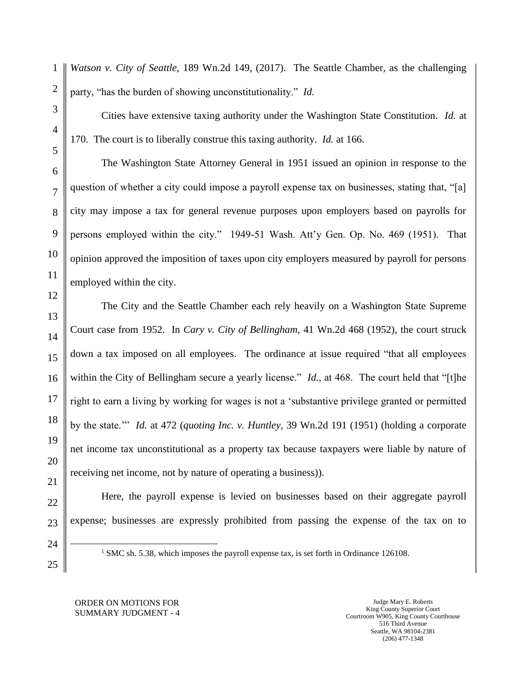1 2 *Watson v. City of Seattle,* 189 Wn.2d 149, (2017). The Seattle Chamber, as the challenging party, "has the burden of showing unconstitutionality." *Id.* 

Cities have extensive taxing authority under the Washington State Constitution. *Id.* at 170. The court is to liberally construe this taxing authority. *Id.* at 166.

The Washington State Attorney General in 1951 issued an opinion in response to the question of whether a city could impose a payroll expense tax on businesses, stating that, "[a] city may impose a tax for general revenue purposes upon employers based on payrolls for persons employed within the city." 1949-51 Wash. Att'y Gen. Op. No. 469 (1951). That opinion approved the imposition of taxes upon city employers measured by payroll for persons employed within the city.

The City and the Seattle Chamber each rely heavily on a Washington State Supreme Court case from 1952. In *Cary v. City of Bellingham,* 41 Wn.2d 468 (1952), the court struck down a tax imposed on all employees. The ordinance at issue required "that all employees within the City of Bellingham secure a yearly license." *Id.*, at 468. The court held that "[t]he right to earn a living by working for wages is not a 'substantive privilege granted or permitted by the state.'" *Id.* at 472 (*quoting Inc. v. Huntley,* 39 Wn.2d 191 (1951) (holding a corporate net income tax unconstitutional as a property tax because taxpayers were liable by nature of receiving net income, not by nature of operating a business)).

Here, the payroll expense is levied on businesses based on their aggregate payroll expense; businesses are expressly prohibited from passing the expense of the tax on to

24 25  $\overline{a}$ 

3

4

5

6

7

8

9

10

11

12

13

14

15

16

17

18

19

20

21

22

23

<sup>1</sup> SMC sh. 5.38, which imposes the payroll expense tax, is set forth in Ordinance 126108.

## ORDER ON MOTIONS FOR SUMMARY JUDGMENT - 4

Judge Mary E. Roberts King County Superior Court Courtroom W905, King County Courthouse 516 Third Avenue Seattle, WA 98104-2381 (206) 477-1348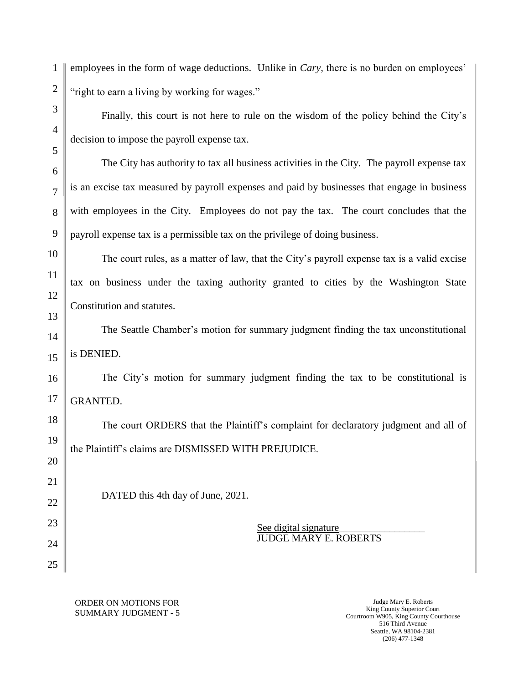employees in the form of wage deductions. Unlike in *Cary,* there is no burden on employees' "right to earn a living by working for wages."

Finally, this court is not here to rule on the wisdom of the policy behind the City's decision to impose the payroll expense tax.

The City has authority to tax all business activities in the City. The payroll expense tax is an excise tax measured by payroll expenses and paid by businesses that engage in business with employees in the City. Employees do not pay the tax. The court concludes that the payroll expense tax is a permissible tax on the privilege of doing business.

The court rules, as a matter of law, that the City's payroll expense tax is a valid excise tax on business under the taxing authority granted to cities by the Washington State Constitution and statutes.

The Seattle Chamber's motion for summary judgment finding the tax unconstitutional is DENIED.

The City's motion for summary judgment finding the tax to be constitutional is GRANTED.

The court ORDERS that the Plaintiff's complaint for declaratory judgment and all of the Plaintiff's claims are DISMISSED WITH PREJUDICE.

DATED this 4th day of June, 2021.

See digital signature\_\_\_\_\_\_\_\_\_\_\_\_\_\_\_\_\_ JUDGE MARY E. ROBERTS

ORDER ON MOTIONS FOR SUMMARY JUDGMENT - 5

Judge Mary E. Roberts King County Superior Court Courtroom W905, King County Courthouse 516 Third Avenue Seattle, WA 98104-2381 (206) 477-1348

1

2